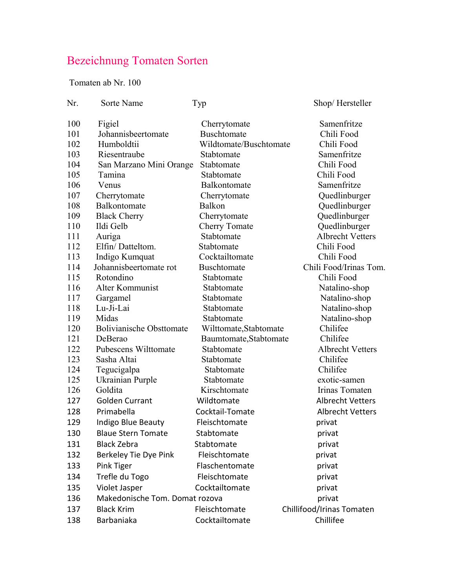## Bezeichnung Tomaten Sorten

Tomaten ab Nr. 100

| Nr. | Sorte Name                      | Typ                    | Shop/Hersteller           |
|-----|---------------------------------|------------------------|---------------------------|
| 100 | Figiel                          | Cherrytomate           | Samenfritze               |
| 101 | Johannisbeertomate              | <b>Buschtomate</b>     | Chili Food                |
| 102 | Humboldtii                      | Wildtomate/Buschtomate | Chili Food                |
| 103 | Riesentraube                    | Stabtomate             | Samenfritze               |
| 104 | San Marzano Mini Orange         | Stabtomate             | Chili Food                |
| 105 | Tamina                          | Stabtomate             | Chili Food                |
| 106 | Venus                           | Balkontomate           | Samenfritze               |
| 107 | Cherrytomate                    | Cherrytomate           | Quedlinburger             |
| 108 | Balkontomate                    | Balkon                 | Quedlinburger             |
| 109 | <b>Black Cherry</b>             | Cherrytomate           | Quedlinburger             |
| 110 | Ildi Gelb                       | <b>Cherry Tomate</b>   | Quedlinburger             |
| 111 | Auriga                          | Stabtomate             | <b>Albrecht Vetters</b>   |
| 112 | Elfin/Datteltom.                | Stabtomate             | Chili Food                |
| 113 | Indigo Kumquat                  | Cocktailtomate         | Chili Food                |
| 114 | Johannisbeertomate rot          | <b>Buschtomate</b>     | Chili Food/Irinas Tom.    |
| 115 | Rotondino                       | Stabtomate             | Chili Food                |
| 116 | Alter Kommunist                 | Stabtomate             | Natalino-shop             |
| 117 | Gargamel                        | Stabtomate             | Natalino-shop             |
| 118 | Lu-Ji-Lai                       | Stabtomate             | Natalino-shop             |
| 119 | Midas                           | Stabtomate             | Natalino-shop             |
| 120 | <b>Bolivianische Obsttomate</b> | Wilttomate, Stabtomate | Chilifee                  |
| 121 | DeBerao                         | Baumtomate, Stabtomate | Chilifee                  |
| 122 | Pubescens Wilttomate            | Stabtomate             | <b>Albrecht Vetters</b>   |
| 123 | Sasha Altai                     | Stabtomate             | Chilifee                  |
| 124 | Tegucigalpa                     | Stabtomate             | Chilifee                  |
| 125 | Ukrainian Purple                | Stabtomate             | exotic-samen              |
| 126 | Goldita                         | Kirschtomate           | Irinas Tomaten            |
| 127 | <b>Golden Currant</b>           | Wildtomate             | <b>Albrecht Vetters</b>   |
| 128 | Primabella                      | Cocktail-Tomate        | <b>Albrecht Vetters</b>   |
| 129 | Indigo Blue Beauty              | Fleischtomate          | privat                    |
| 130 | <b>Blaue Stern Tomate</b>       | Stabtomate             | privat                    |
| 131 | <b>Black Zebra</b>              | Stabtomate             | privat                    |
| 132 | Berkeley Tie Dye Pink           | Fleischtomate          | privat                    |
| 133 | Pink Tiger                      | Flaschentomate         | privat                    |
| 134 | Trefle du Togo                  | Fleischtomate          | privat                    |
| 135 | Violet Jasper                   | Cocktailtomate         | privat                    |
| 136 | Makedonische Tom. Domat rozova  |                        | privat                    |
| 137 | <b>Black Krim</b>               | Fleischtomate          | Chillifood/Irinas Tomaten |
| 138 | Barbaniaka                      | Cocktailtomate         | Chillifee                 |